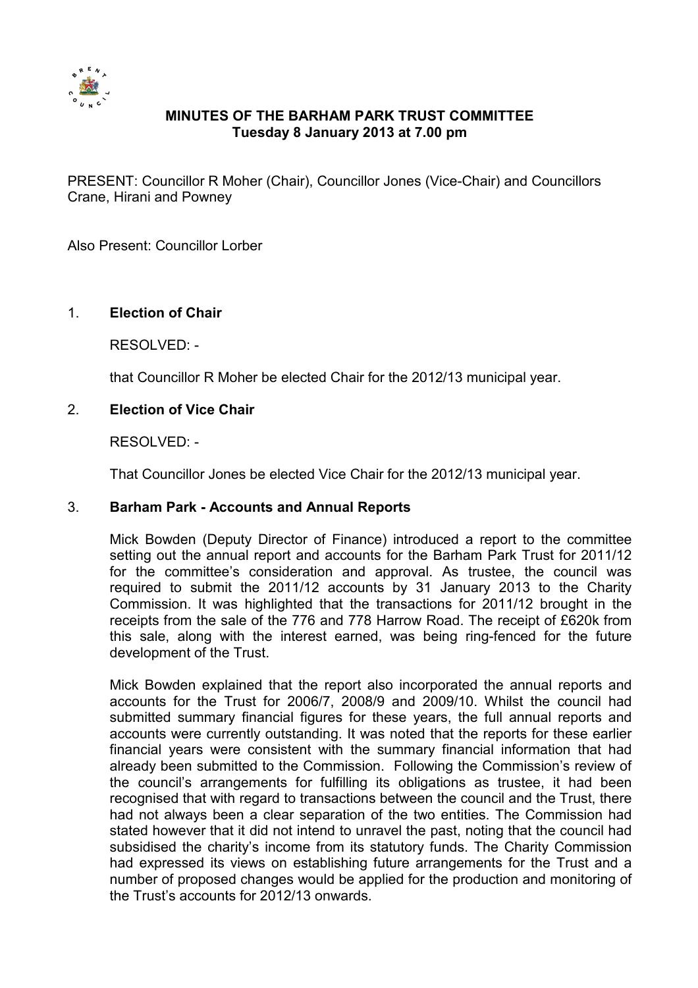

# **MINUTES OF THE BARHAM PARK TRUST COMMITTEE Tuesday 8 January 2013 at 7.00 pm**

PRESENT: Councillor R Moher (Chair), Councillor Jones (Vice-Chair) and Councillors Crane, Hirani and Powney

Also Present: Councillor Lorber

### 1. **Election of Chair**

RESOLVED: -

that Councillor R Moher be elected Chair for the 2012/13 municipal year.

#### 2. **Election of Vice Chair**

RESOLVED: -

That Councillor Jones be elected Vice Chair for the 2012/13 municipal year.

### 3. **Barham Park - Accounts and Annual Reports**

Mick Bowden (Deputy Director of Finance) introduced a report to the committee setting out the annual report and accounts for the Barham Park Trust for 2011/12 for the committee's consideration and approval. As trustee, the council was required to submit the 2011/12 accounts by 31 January 2013 to the Charity Commission. It was highlighted that the transactions for 2011/12 brought in the receipts from the sale of the 776 and 778 Harrow Road. The receipt of £620k from this sale, along with the interest earned, was being ring-fenced for the future development of the Trust.

Mick Bowden explained that the report also incorporated the annual reports and accounts for the Trust for 2006/7, 2008/9 and 2009/10. Whilst the council had submitted summary financial figures for these years, the full annual reports and accounts were currently outstanding. It was noted that the reports for these earlier financial years were consistent with the summary financial information that had already been submitted to the Commission. Following the Commission's review of the council's arrangements for fulfilling its obligations as trustee, it had been recognised that with regard to transactions between the council and the Trust, there had not always been a clear separation of the two entities. The Commission had stated however that it did not intend to unravel the past, noting that the council had subsidised the charity's income from its statutory funds. The Charity Commission had expressed its views on establishing future arrangements for the Trust and a number of proposed changes would be applied for the production and monitoring of the Trust's accounts for 2012/13 onwards.